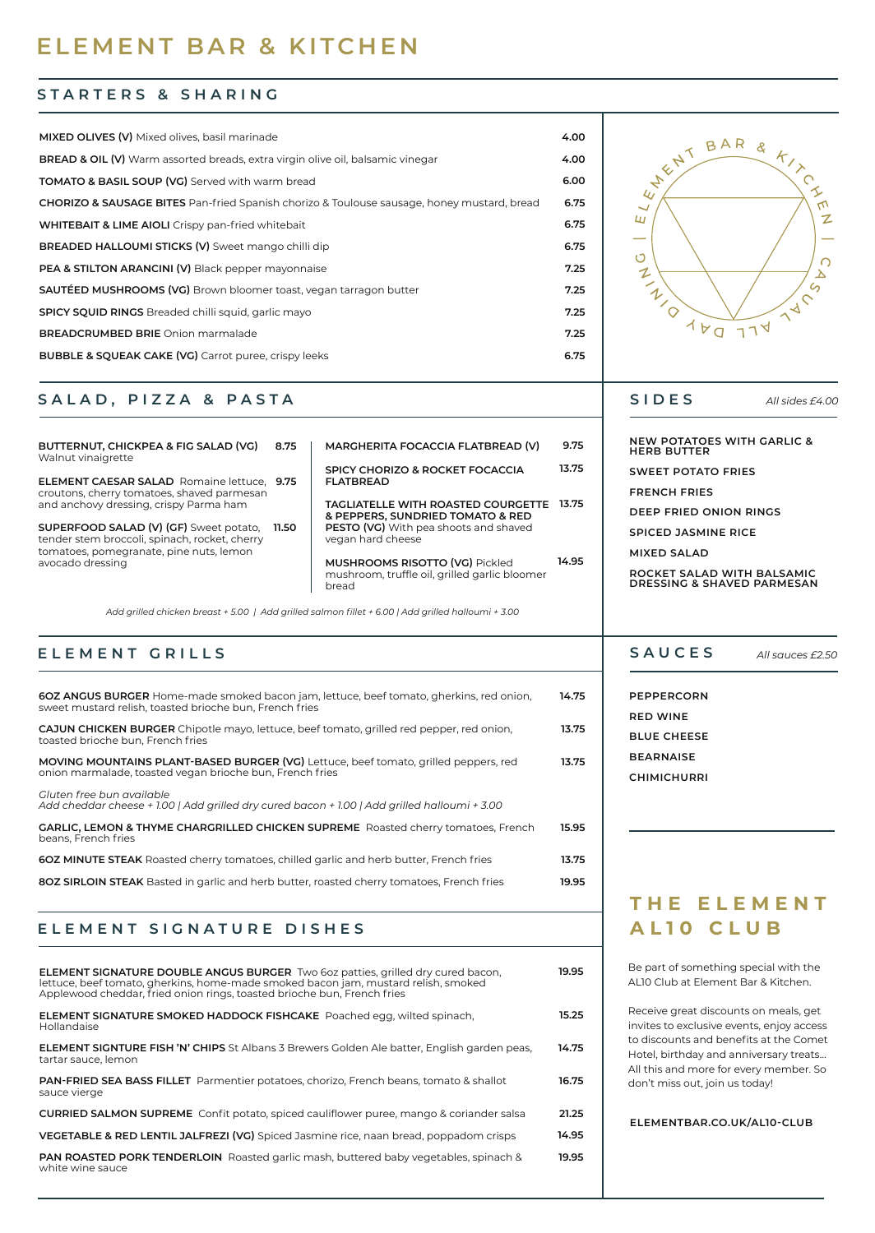# **ELEMENT BAR & KITCHEN**

#### **STARTERS & SHARING**

| MIXED OLIVES (V) Mixed olives, basil marinade                                                         | 4.00 |
|-------------------------------------------------------------------------------------------------------|------|
| <b>BREAD &amp; OIL (V)</b> Warm assorted breads, extra virgin olive oil, balsamic vinegar             | 4.00 |
| <b>TOMATO &amp; BASIL SOUP (VG)</b> Served with warm bread                                            | 6.00 |
| <b>CHORIZO &amp; SAUSAGE BITES</b> Pan-fried Spanish chorizo & Toulouse sausage, honey mustard, bread | 6.75 |
| <b>WHITEBAIT &amp; LIME AIOLI</b> Crispy pan-fried whitebait                                          | 6.75 |
| BREADED HALLOUMI STICKS (V) Sweet mango chilli dip                                                    | 6.75 |
| PEA & STILTON ARANCINI (V) Black pepper mayonnaise                                                    | 7.25 |
| <b>SAUTÉED MUSHROOMS (VG)</b> Brown bloomer toast, vegan tarragon butter                              | 7.25 |
| <b>SPICY SQUID RINGS</b> Breaded chilli squid, garlic mayo                                            | 7.25 |
| <b>BREADCRUMBED BRIE</b> Onion marmalade                                                              | 7.25 |
| <b>BUBBLE &amp; SQUEAK CAKE (VG)</b> Carrot puree, crispy leeks                                       | 6.75 |

#### **SALAD, PIZZA & PASTA**

| BUTTERNUT, CHICKPEA & FIG SALAD (VG)<br>Walnut vinaigrette                                                                         | 8.75  | MARGHERITA FOCACCIA FLATBREAD (V)                                                               | 9.75  |
|------------------------------------------------------------------------------------------------------------------------------------|-------|-------------------------------------------------------------------------------------------------|-------|
| <b>ELEMENT CAESAR SALAD</b> Romaine lettuce, 9.75<br>croutons, cherry tomatoes, shaved parmesan                                    |       | SPICY CHORIZO & ROCKET FOCACCIA<br><b>FLATBREAD</b>                                             | 13.75 |
| and anchovy dressing, crispy Parma ham                                                                                             |       | <b>TAGLIATELLE WITH ROASTED COURGETTE</b><br>& PEPPERS, SUNDRIED TOMATO & RED                   | 13.75 |
| SUPERFOOD SALAD (V) (GF) Sweet potato,<br>tender stem broccoli, spinach, rocket, cherry<br>tomatoes, pomegranate, pine nuts, lemon | 11.50 | PESTO (VG) With pea shoots and shaved<br>vegan hard cheese                                      |       |
| avocado dressing                                                                                                                   |       | <b>MUSHROOMS RISOTTO (VG) Pickled</b><br>mushroom, truffle oil, grilled garlic bloomer<br>bread | 14.95 |

*Add grilled chicken breast + 5.00 | Add grilled salmon fillet + 6.00 | Add grilled halloumi + 3.00*

## **ELEMENT GRILLS**

| <b>60Z ANGUS BURGER</b> Home-made smoked bacon jam, lettuce, beef tomato, gherkins, red onion,<br>sweet mustard relish, toasted brioche bun. French fries | 14.75 |
|-----------------------------------------------------------------------------------------------------------------------------------------------------------|-------|
| <b>CAJUN CHICKEN BURGER</b> Chipotle mayo, lettuce, beef tomato, grilled red pepper, red onion,<br>toasted brioche bun. French fries                      | 13.75 |
| <b>MOVING MOUNTAINS PLANT-BASED BURGER (VG)</b> Lettuce, beef tomato, grilled peppers, red<br>onion marmalade, toasted vegan brioche bun, French fries    | 13.75 |
| Gluten free bun available<br>Add cheddar cheese + 1.00   Add grilled dry cured bacon + 1.00   Add grilled halloumi + 3.00                                 |       |
| GARLIC, LEMON & THYME CHARGRILLED CHICKEN SUPREME Roasted cherry tomatoes, French<br>beans. French fries                                                  | 15.95 |
| <b>60Z MINUTE STEAK</b> Roasted cherry tomatoes, chilled garlic and herb butter, French fries                                                             | 13.75 |
| <b>80Z SIRLOIN STEAK</b> Basted in garlic and herb butter, roasted cherry tomatoes. French fries                                                          | 19.95 |

## **ELEMENT SIGNATURE DISHES**

| <b>ELEMENT SIGNATURE DOUBLE ANGUS BURGER</b> Two 6oz patties, grilled dry cured bacon,<br>lettuce, beef tomato, gherkins, home-made smoked bacon jam, mustard relish, smoked<br>Applewood cheddar, fried onion rings, toasted brioche bun, French fries | 19.95 |
|---------------------------------------------------------------------------------------------------------------------------------------------------------------------------------------------------------------------------------------------------------|-------|
| <b>ELEMENT SIGNATURE SMOKED HADDOCK FISHCAKE</b> Poached egg, wilted spinach,<br>Hollandaise                                                                                                                                                            | 15.25 |
| <b>ELEMENT SIGNTURE FISH 'N' CHIPS</b> St Albans 3 Brewers Golden Ale batter, English garden peas,<br>tartar sauce, lemon                                                                                                                               | 14.75 |
| <b>PAN-FRIED SEA BASS FILLET</b> Parmentier potatoes, chorizo, French beans, tomato & shallot<br>sauce vierge                                                                                                                                           | 16.75 |
| <b>CURRIED SALMON SUPREME</b> Confit potato, spiced cauliflower puree, mango & coriander salsa                                                                                                                                                          | 21.25 |
| VEGETABLE & RED LENTIL JALFREZI (VG) Spiced Jasmine rice, naan bread, poppadom crisps                                                                                                                                                                   | 14.95 |
| <b>PAN ROASTED PORK TENDERLOIN</b> Roasted garlic mash, buttered baby vegetables, spinach &<br>white wine sauce                                                                                                                                         | 19.95 |



*All sides £4.00*

**NEW POTATOES WITH GARLIC & HERB BUTTER SWEET POTATO FRIES FRENCH FRIES**

**DEEP FRIED ONION RINGS**

**SPICED JASMINE RICE**

**MIXED SALAD**

**ROCKET SALAD WITH BALSAMIC DRESSING & SHAVED PARMESAN**

#### **SAUCES** *All sauces £2.50*

**PEPPERCORN RED WINE BLUE CHEESE BEARNAISE CHIMICHURRI**

## **THE ELEMENT AL10 CLUB**

Be part of something special with the AL10 Club at Element Bar & Kitchen.

Receive great discounts on meals, get invites to exclusive events, enjoy access to discounts and benefits at the Comet Hotel, birthday and anniversary treats… All this and more for every member. So don't miss out, join us today!

#### **ELEMENTBAR.CO.UK/AL10-CLUB**